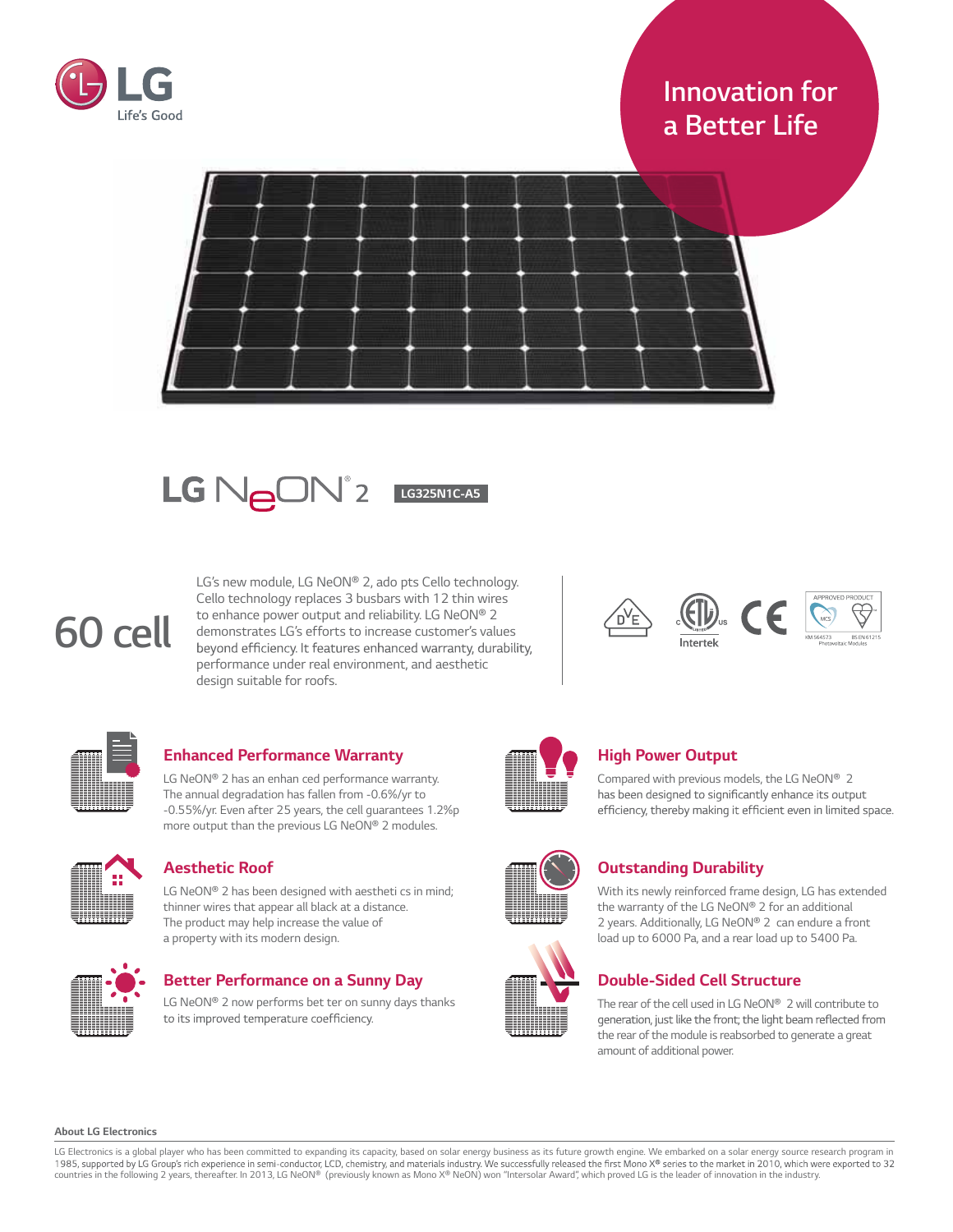

# *Innovation for a Better Life*





*LG's new module, LG NeON® 2, ado pts Cello technology. Cello technology replaces 3 busbars with 12 thin wires to enhance power output and reliability. LG NeON® 2 demonstrates LG's efforts to increase customer's values*  beyond efficiency. It features enhanced warranty, durability, *performance under real environment, and aesthetic design suitable for roofs.*



*60 cell*

# *Enhanced Performance Warranty*

*LG NeON® 2 has an enhan ced performance warranty. The annual degradation has fallen from -0.6%/yr to -0.55%/yr. Even after 25 years, the cell guarantees 1.2%p more output than the previous LG NeON® 2 modules.*



### *Aesthetic Roof*

*LG NeON® 2 has been designed with aestheti cs in mind; thinner wires that appear all black at a distance. The product may help increase the value of a property with its modern design.*



# *Better Performance on a Sunny Day*

*LG NeON® 2 now performs bet ter on sunny days thanks*  to its improved temperature coefficiency.



# *High Power Output*

*Compared with previous models, the LG NeON® 2*  has been designed to significantly enhance its output efficiency, thereby making it efficient even in limited space.





# *Outstanding Durability*

*With its newly reinforced frame design, LG has extended the warranty of the LG NeON® 2 for an additional 2 years. Additionally, LG NeON® 2 can endure a front load up to 6000 Pa, and a rear load up to 5400 Pa.*

# *Double-Sided Cell Structure*

*The rear of the cell used in LG NeON® 2 willcontribute to*  generation, just like the front; the light beam reflected from *the rear of the module isreabsorbed to generate a great amount of additional power.*

#### *About LG Electronics*

LG Electronics is a global player who has been committed to expanding its capacity, based on solar energy business as its future growth engine. We embarked on a solar energy source research program in 1985, supported by LG countries in the following 2 years, thereafter. In 2013, LG NeON® (previously known as Mono X® NeON) won "Intersolar Award", which proved LG is the leader of innovation in the industry.